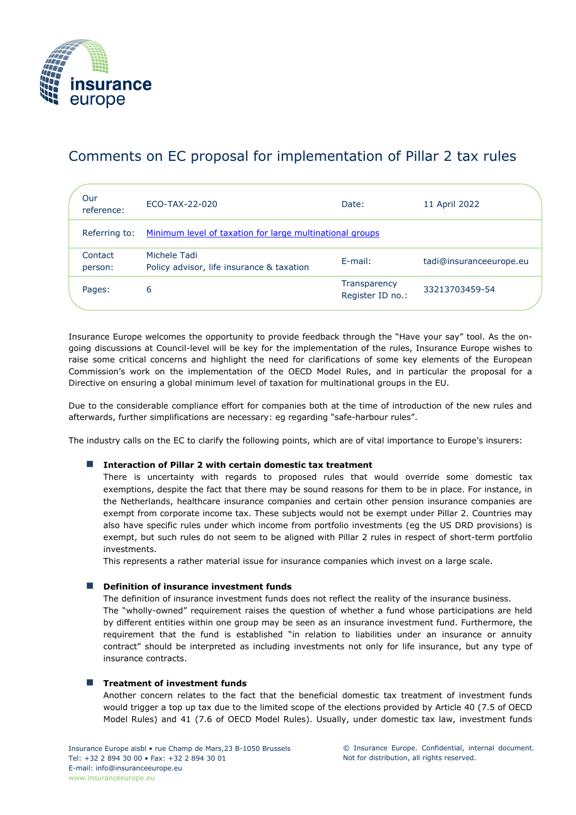

# Comments on EC proposal for implementation of Pillar 2 tax rules

| Our<br>reference:  | ECO-TAX-22-020                                            | Date:                            | 11 April 2022           |
|--------------------|-----------------------------------------------------------|----------------------------------|-------------------------|
| Referring to:      | Minimum level of taxation for large multinational groups  |                                  |                         |
| Contact<br>person: | Michele Tadi<br>Policy advisor, life insurance & taxation | $E$ -mail:                       | tadi@insuranceeurope.eu |
| Pages:             | 6                                                         | Transparency<br>Register ID no.: | 33213703459-54          |

Insurance Europe welcomes the opportunity to provide feedback through the "Have your say" tool. As the ongoing discussions at Council-level will be key for the implementation of the rules, Insurance Europe wishes to raise some critical concerns and highlight the need for clarifications of some key elements of the European Commission's work on the implementation of the OECD Model Rules, and in particular the proposal for a Directive on ensuring a global minimum level of taxation for multinational groups in the EU.

Due to the considerable compliance effort for companies both at the time of introduction of the new rules and afterwards, further simplifications are necessary: eg regarding "safe-harbour rules".

The industry calls on the EC to clarify the following points, which are of vital importance to Europe's insurers:

# ■ Interaction of Pillar 2 with certain domestic tax treatment

There is uncertainty with regards to proposed rules that would override some domestic tax exemptions, despite the fact that there may be sound reasons for them to be in place. For instance, in the Netherlands, healthcare insurance companies and certain other pension insurance companies are exempt from corporate income tax. These subjects would not be exempt under Pillar 2. Countries may also have specific rules under which income from portfolio investments (eg the US DRD provisions) is exempt, but such rules do not seem to be aligned with Pillar 2 rules in respect of short-term portfolio investments.

This represents a rather material issue for insurance companies which invest on a large scale.

# ■ **Definition of insurance investment funds**

The definition of insurance investment funds does not reflect the reality of the insurance business. The "wholly-owned" requirement raises the question of whether a fund whose participations are held by different entities within one group may be seen as an insurance investment fund. Furthermore, the requirement that the fund is established "in relation to liabilities under an insurance or annuity contract" should be interpreted as including investments not only for life insurance, but any type of insurance contracts.

# ■ Treatment of investment funds

Another concern relates to the fact that the beneficial domestic tax treatment of investment funds would trigger a top up tax due to the limited scope of the elections provided by Article 40 (7.5 of OECD Model Rules) and 41 (7.6 of OECD Model Rules). Usually, under domestic tax law, investment funds

© Insurance Europe. Confidential, internal document. Not for distribution, all rights reserved.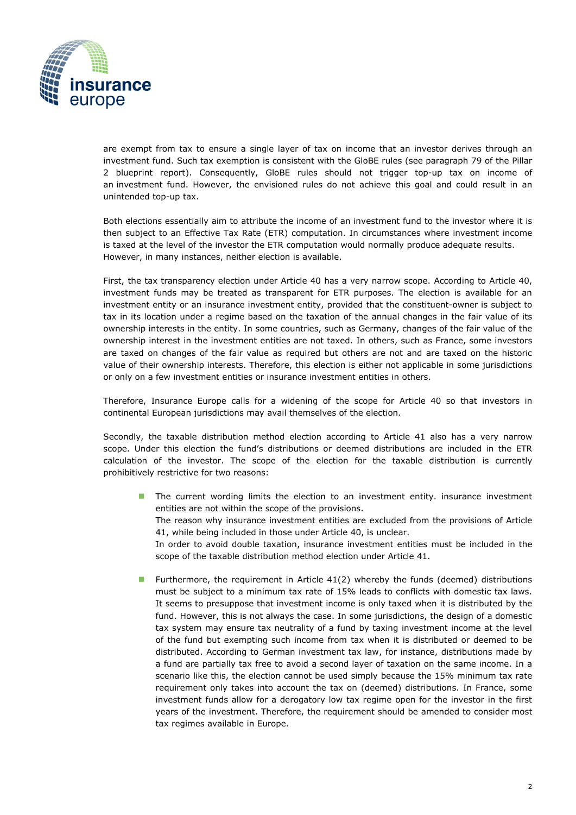

are exempt from tax to ensure a single layer of tax on income that an investor derives through an investment fund. Such tax exemption is consistent with the GloBE rules (see paragraph 79 of the Pillar 2 blueprint report). Consequently, GloBE rules should not trigger top-up tax on income of an investment fund. However, the envisioned rules do not achieve this goal and could result in an unintended top-up tax.

Both elections essentially aim to attribute the income of an investment fund to the investor where it is then subject to an Effective Tax Rate (ETR) computation. In circumstances where investment income is taxed at the level of the investor the ETR computation would normally produce adequate results. However, in many instances, neither election is available.

First, the tax transparency election under Article 40 has a very narrow scope. According to Article 40, investment funds may be treated as transparent for ETR purposes. The election is available for an investment entity or an insurance investment entity, provided that the constituent-owner is subject to tax in its location under a regime based on the taxation of the annual changes in the fair value of its ownership interests in the entity. In some countries, such as Germany, changes of the fair value of the ownership interest in the investment entities are not taxed. In others, such as France, some investors are taxed on changes of the fair value as required but others are not and are taxed on the historic value of their ownership interests. Therefore, this election is either not applicable in some jurisdictions or only on a few investment entities or insurance investment entities in others.

Therefore, Insurance Europe calls for a widening of the scope for Article 40 so that investors in continental European jurisdictions may avail themselves of the election.

Secondly, the taxable distribution method election according to Article 41 also has a very narrow scope. Under this election the fund's distributions or deemed distributions are included in the ETR calculation of the investor. The scope of the election for the taxable distribution is currently prohibitively restrictive for two reasons:

- The current wording limits the election to an investment entity. insurance investment entities are not within the scope of the provisions. The reason why insurance investment entities are excluded from the provisions of Article 41, while being included in those under Article 40, is unclear. In order to avoid double taxation, insurance investment entities must be included in the scope of the taxable distribution method election under Article 41.
- Furthermore, the requirement in Article 41(2) whereby the funds (deemed) distributions must be subject to a minimum tax rate of 15% leads to conflicts with domestic tax laws. It seems to presuppose that investment income is only taxed when it is distributed by the fund. However, this is not always the case. In some jurisdictions, the design of a domestic tax system may ensure tax neutrality of a fund by taxing investment income at the level of the fund but exempting such income from tax when it is distributed or deemed to be distributed. According to German investment tax law, for instance, distributions made by a fund are partially tax free to avoid a second layer of taxation on the same income. In a scenario like this, the election cannot be used simply because the 15% minimum tax rate requirement only takes into account the tax on (deemed) distributions. In France, some investment funds allow for a derogatory low tax regime open for the investor in the first years of the investment. Therefore, the requirement should be amended to consider most tax regimes available in Europe.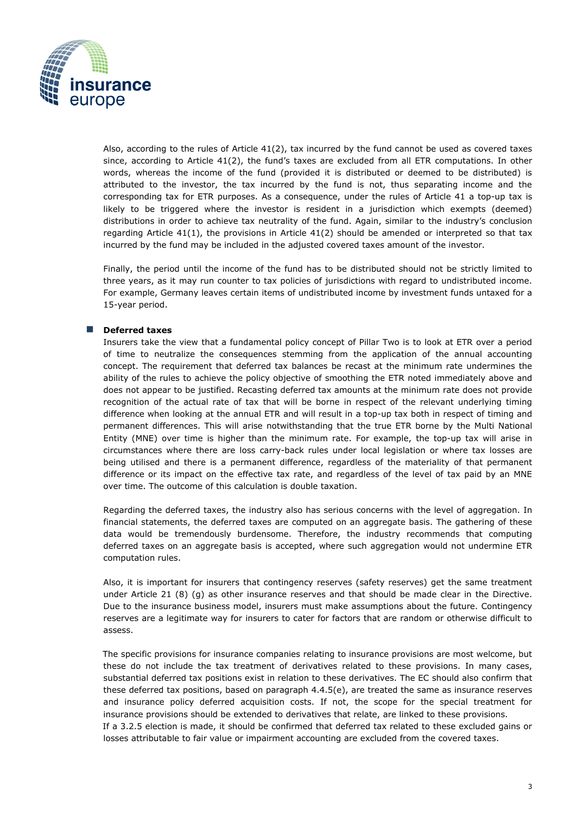

Also, according to the rules of Article 41(2), tax incurred by the fund cannot be used as covered taxes since, according to Article 41(2), the fund's taxes are excluded from all ETR computations. In other words, whereas the income of the fund (provided it is distributed or deemed to be distributed) is attributed to the investor, the tax incurred by the fund is not, thus separating income and the corresponding tax for ETR purposes. As a consequence, under the rules of Article 41 a top-up tax is likely to be triggered where the investor is resident in a jurisdiction which exempts (deemed) distributions in order to achieve tax neutrality of the fund. Again, similar to the industry's conclusion regarding Article 41(1), the provisions in Article 41(2) should be amended or interpreted so that tax incurred by the fund may be included in the adjusted covered taxes amount of the investor.

Finally, the period until the income of the fund has to be distributed should not be strictly limited to three years, as it may run counter to tax policies of jurisdictions with regard to undistributed income. For example, Germany leaves certain items of undistributed income by investment funds untaxed for a 15-year period.

# ◼ **Deferred taxes**

Insurers take the view that a fundamental policy concept of Pillar Two is to look at ETR over a period of time to neutralize the consequences stemming from the application of the annual accounting concept. The requirement that deferred tax balances be recast at the minimum rate undermines the ability of the rules to achieve the policy objective of smoothing the ETR noted immediately above and does not appear to be justified. Recasting deferred tax amounts at the minimum rate does not provide recognition of the actual rate of tax that will be borne in respect of the relevant underlying timing difference when looking at the annual ETR and will result in a top-up tax both in respect of timing and permanent differences. This will arise notwithstanding that the true ETR borne by the Multi National Entity (MNE) over time is higher than the minimum rate. For example, the top-up tax will arise in circumstances where there are loss carry-back rules under local legislation or where tax losses are being utilised and there is a permanent difference, regardless of the materiality of that permanent difference or its impact on the effective tax rate, and regardless of the level of tax paid by an MNE over time. The outcome of this calculation is double taxation.

Regarding the deferred taxes, the industry also has serious concerns with the level of aggregation. In financial statements, the deferred taxes are computed on an aggregate basis. The gathering of these data would be tremendously burdensome. Therefore, the industry recommends that computing deferred taxes on an aggregate basis is accepted, where such aggregation would not undermine ETR computation rules.

Also, it is important for insurers that contingency reserves (safety reserves) get the same treatment under Article 21 (8) (g) as other insurance reserves and that should be made clear in the Directive. Due to the insurance business model, insurers must make assumptions about the future. Contingency reserves are a legitimate way for insurers to cater for factors that are random or otherwise difficult to assess.

The specific provisions for insurance companies relating to insurance provisions are most welcome, but these do not include the tax treatment of derivatives related to these provisions. In many cases, substantial deferred tax positions exist in relation to these derivatives. The EC should also confirm that these deferred tax positions, based on paragraph 4.4.5(e), are treated the same as insurance reserves and insurance policy deferred acquisition costs. If not, the scope for the special treatment for insurance provisions should be extended to derivatives that relate, are linked to these provisions. If a 3.2.5 election is made, it should be confirmed that deferred tax related to these excluded gains or losses attributable to fair value or impairment accounting are excluded from the covered taxes.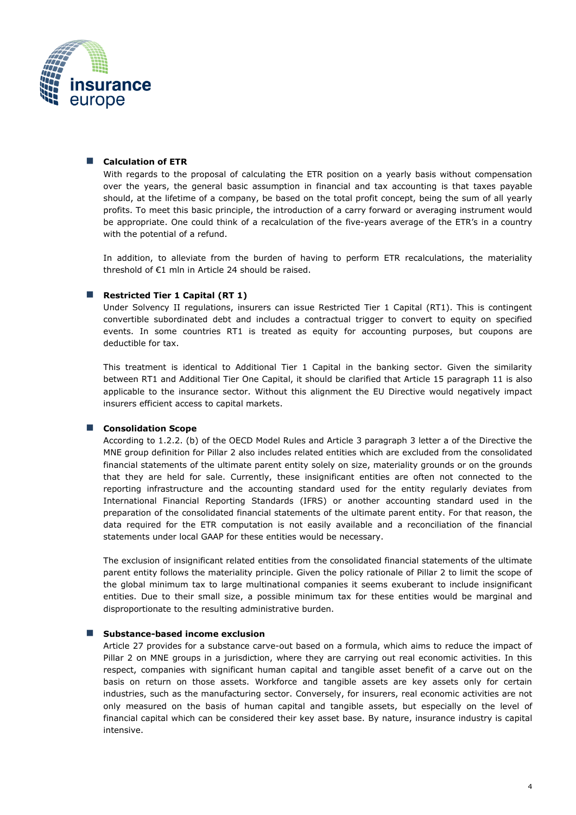

## ■ **Calculation of ETR**

With regards to the proposal of calculating the ETR position on a yearly basis without compensation over the years, the general basic assumption in financial and tax accounting is that taxes payable should, at the lifetime of a company, be based on the total profit concept, being the sum of all yearly profits. To meet this basic principle, the introduction of a carry forward or averaging instrument would be appropriate. One could think of a recalculation of the five-years average of the ETR's in a country with the potential of a refund.

In addition, to alleviate from the burden of having to perform ETR recalculations, the materiality threshold of €1 mln in Article 24 should be raised.

### ■ Restricted Tier 1 Capital (RT 1)

Under Solvency II regulations, insurers can issue Restricted Tier 1 Capital (RT1). This is contingent convertible subordinated debt and includes a contractual trigger to convert to equity on specified events. In some countries RT1 is treated as equity for accounting purposes, but coupons are deductible for tax.

This treatment is identical to Additional Tier 1 Capital in the banking sector. Given the similarity between RT1 and Additional Tier One Capital, it should be clarified that Article 15 paragraph 11 is also applicable to the insurance sector. Without this alignment the EU Directive would negatively impact insurers efficient access to capital markets.

#### ■ **Consolidation Scope**

According to 1.2.2. (b) of the OECD Model Rules and Article 3 paragraph 3 letter a of the Directive the MNE group definition for Pillar 2 also includes related entities which are excluded from the consolidated financial statements of the ultimate parent entity solely on size, materiality grounds or on the grounds that they are held for sale. Currently, these insignificant entities are often not connected to the reporting infrastructure and the accounting standard used for the entity regularly deviates from International Financial Reporting Standards (IFRS) or another accounting standard used in the preparation of the consolidated financial statements of the ultimate parent entity. For that reason, the data required for the ETR computation is not easily available and a reconciliation of the financial statements under local GAAP for these entities would be necessary.

The exclusion of insignificant related entities from the consolidated financial statements of the ultimate parent entity follows the materiality principle. Given the policy rationale of Pillar 2 to limit the scope of the global minimum tax to large multinational companies it seems exuberant to include insignificant entities. Due to their small size, a possible minimum tax for these entities would be marginal and disproportionate to the resulting administrative burden.

## ■ Substance-based income exclusion

Article 27 provides for a substance carve-out based on a formula, which aims to reduce the impact of Pillar 2 on MNE groups in a jurisdiction, where they are carrying out real economic activities. In this respect, companies with significant human capital and tangible asset benefit of a carve out on the basis on return on those assets. Workforce and tangible assets are key assets only for certain industries, such as the manufacturing sector. Conversely, for insurers, real economic activities are not only measured on the basis of human capital and tangible assets, but especially on the level of financial capital which can be considered their key asset base. By nature, insurance industry is capital intensive.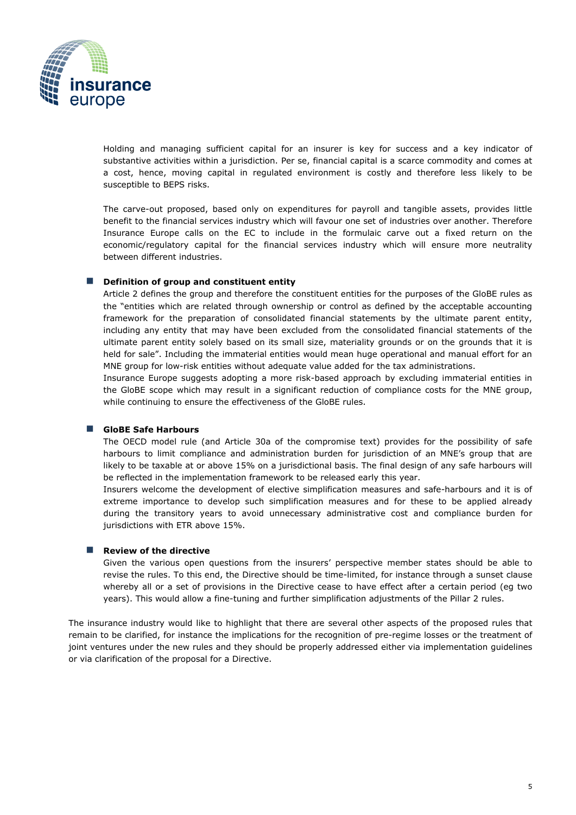

Holding and managing sufficient capital for an insurer is key for success and a key indicator of substantive activities within a jurisdiction. Per se, financial capital is a scarce commodity and comes at a cost, hence, moving capital in regulated environment is costly and therefore less likely to be susceptible to BEPS risks.

The carve-out proposed, based only on expenditures for payroll and tangible assets, provides little benefit to the financial services industry which will favour one set of industries over another. Therefore Insurance Europe calls on the EC to include in the formulaic carve out a fixed return on the economic/regulatory capital for the financial services industry which will ensure more neutrality between different industries.

### ■ **Definition of group and constituent entity**

Article 2 defines the group and therefore the constituent entities for the purposes of the GloBE rules as the "entities which are related through ownership or control as defined by the acceptable accounting framework for the preparation of consolidated financial statements by the ultimate parent entity, including any entity that may have been excluded from the consolidated financial statements of the ultimate parent entity solely based on its small size, materiality grounds or on the grounds that it is held for sale". Including the immaterial entities would mean huge operational and manual effort for an MNE group for low-risk entities without adequate value added for the tax administrations.

Insurance Europe suggests adopting a more risk-based approach by excluding immaterial entities in the GloBE scope which may result in a significant reduction of compliance costs for the MNE group, while continuing to ensure the effectiveness of the GloBE rules.

#### ◼ **GloBE Safe Harbours**

The OECD model rule (and Article 30a of the compromise text) provides for the possibility of safe harbours to limit compliance and administration burden for jurisdiction of an MNE's group that are likely to be taxable at or above 15% on a jurisdictional basis. The final design of any safe harbours will be reflected in the implementation framework to be released early this year.

Insurers welcome the development of elective simplification measures and safe-harbours and it is of extreme importance to develop such simplification measures and for these to be applied already during the transitory years to avoid unnecessary administrative cost and compliance burden for jurisdictions with ETR above 15%.

# ■ Review of the directive

Given the various open questions from the insurers' perspective member states should be able to revise the rules. To this end, the Directive should be time-limited, for instance through a sunset clause whereby all or a set of provisions in the Directive cease to have effect after a certain period (eg two years). This would allow a fine-tuning and further simplification adjustments of the Pillar 2 rules.

The insurance industry would like to highlight that there are several other aspects of the proposed rules that remain to be clarified, for instance the implications for the recognition of pre-regime losses or the treatment of joint ventures under the new rules and they should be properly addressed either via implementation guidelines or via clarification of the proposal for a Directive.